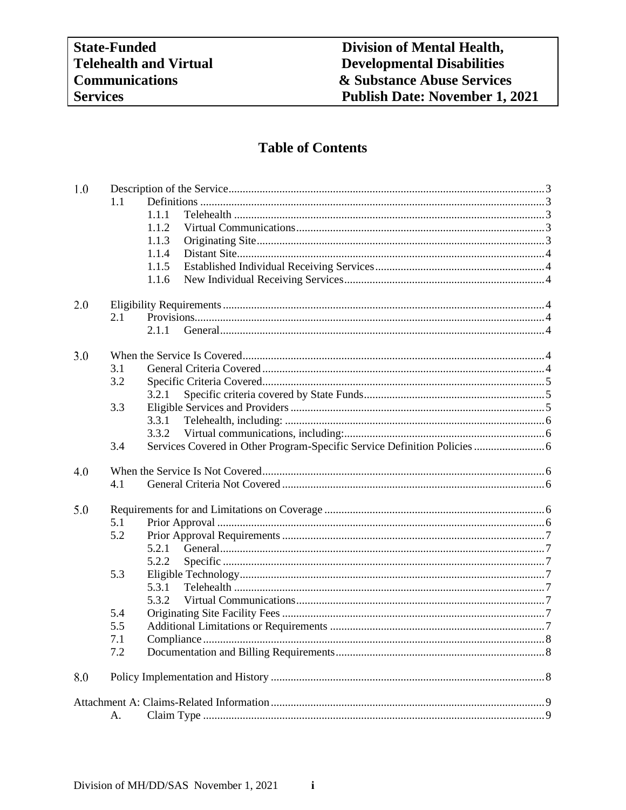# **Table of Contents**

| 1.0 |     |                                                                           |  |  |  |
|-----|-----|---------------------------------------------------------------------------|--|--|--|
|     | 1.1 |                                                                           |  |  |  |
|     |     | 1.1.1                                                                     |  |  |  |
|     |     | 1.1.2                                                                     |  |  |  |
|     |     | 1.1.3                                                                     |  |  |  |
|     |     | 1.1.4                                                                     |  |  |  |
|     |     | 1.1.5                                                                     |  |  |  |
|     |     | 1.1.6                                                                     |  |  |  |
| 2.0 |     |                                                                           |  |  |  |
|     | 2.1 |                                                                           |  |  |  |
|     |     | 2.1.1                                                                     |  |  |  |
| 3.0 |     |                                                                           |  |  |  |
|     | 3.1 |                                                                           |  |  |  |
|     | 3.2 |                                                                           |  |  |  |
|     |     | 3.2.1                                                                     |  |  |  |
|     | 3.3 |                                                                           |  |  |  |
|     |     | 3.3.1                                                                     |  |  |  |
|     |     | 3.3.2                                                                     |  |  |  |
|     | 3.4 | Services Covered in Other Program-Specific Service Definition Policies  6 |  |  |  |
| 4.0 |     |                                                                           |  |  |  |
|     | 4.1 |                                                                           |  |  |  |
| 5.0 |     |                                                                           |  |  |  |
|     | 5.1 |                                                                           |  |  |  |
|     | 5.2 |                                                                           |  |  |  |
|     |     | 5.2.1                                                                     |  |  |  |
|     |     | 5.2.2                                                                     |  |  |  |
|     | 5.3 |                                                                           |  |  |  |
|     |     | 5.3.1                                                                     |  |  |  |
|     |     | 5.3.2                                                                     |  |  |  |
|     | 5.4 |                                                                           |  |  |  |
|     | 5.5 |                                                                           |  |  |  |
|     | 7.1 | Compliance<br>                                                            |  |  |  |
|     | 7.2 |                                                                           |  |  |  |
| 8.0 |     |                                                                           |  |  |  |
|     |     |                                                                           |  |  |  |
|     | A.  |                                                                           |  |  |  |

 $\mathbf{i}$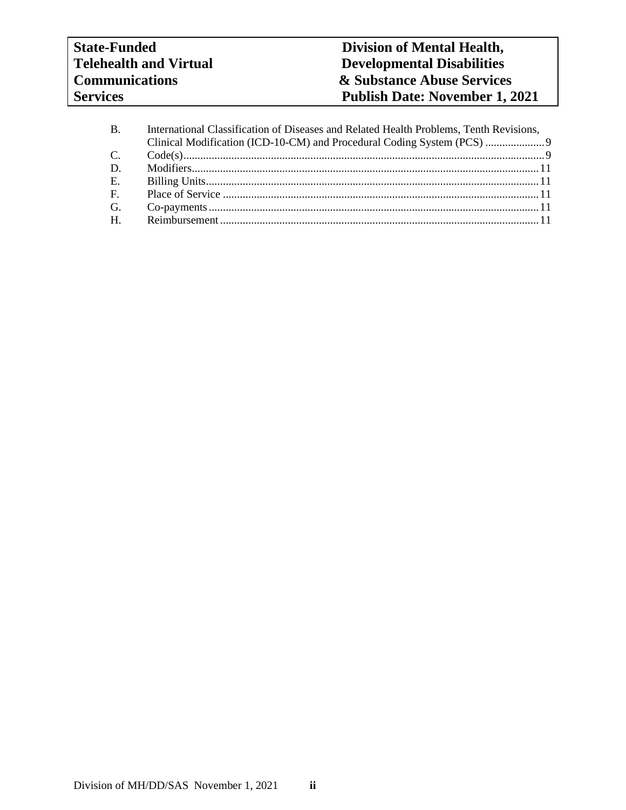| <b>B.</b>   | International Classification of Diseases and Related Health Problems, Tenth Revisions, |  |
|-------------|----------------------------------------------------------------------------------------|--|
|             |                                                                                        |  |
| C.          |                                                                                        |  |
| D.          |                                                                                        |  |
| E.          |                                                                                        |  |
| $F_{\rm c}$ |                                                                                        |  |
| G.          |                                                                                        |  |
| H.          |                                                                                        |  |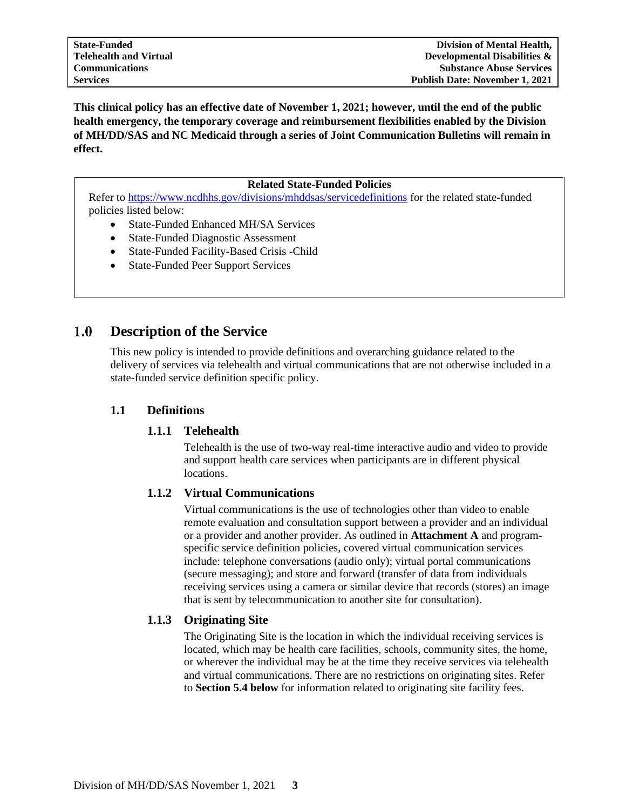**This clinical policy has an effective date of November 1, 2021; however, until the end of the public health emergency, the temporary coverage and reimbursement flexibilities enabled by the Division of MH/DD/SAS and NC Medicaid through a series of Joint Communication Bulletins will remain in effect.**

#### **Related State-Funded Policies**

Refer to<https://www.ncdhhs.gov/divisions/mhddsas/servicedefinitions> for the related state-funded policies listed below:

- State-Funded Enhanced MH/SA Services
- State-Funded Diagnostic Assessment
- State-Funded Facility-Based Crisis -Child
- State-Funded Peer Support Services

#### <span id="page-2-0"></span> $1.0$ **Description of the Service**

This new policy is intended to provide definitions and overarching guidance related to the delivery of services via telehealth and virtual communications that are not otherwise included in a state-funded service definition specific policy.

#### <span id="page-2-2"></span><span id="page-2-1"></span>**1.1 Definitions**

#### **1.1.1 Telehealth**

Telehealth is the use of two-way real-time interactive audio and video to provide and support health care services when participants are in different physical locations.

#### <span id="page-2-3"></span>**1.1.2 Virtual Communications**

Virtual communications is the use of technologies other than video to enable remote evaluation and consultation support between a provider and an individual or a provider and another provider. As outlined in **Attachment A** and programspecific service definition policies, covered virtual communication services include: telephone conversations (audio only); virtual portal communications (secure messaging); and store and forward (transfer of data from individuals receiving services using a camera or similar device that records (stores) an image that is sent by telecommunication to another site for consultation).

#### <span id="page-2-4"></span>**1.1.3 Originating Site**

The Originating Site is the location in which the individual receiving services is located, which may be health care facilities, schools, community sites, the home, or wherever the individual may be at the time they receive services via telehealth and virtual communications. There are no restrictions on originating sites. Refer to **Section 5.4 below** for information related to originating site facility fees.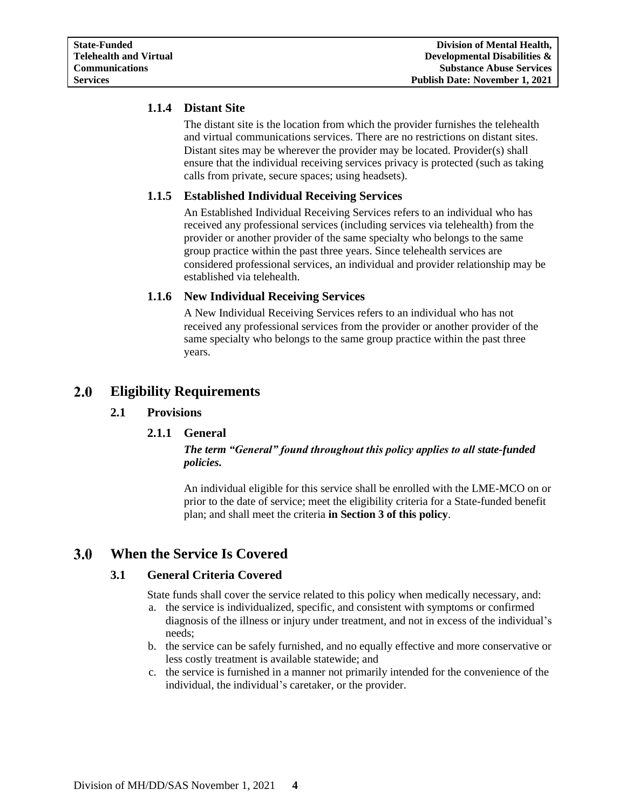# <span id="page-3-0"></span>**1.1.4 Distant Site**

The distant site is the location from which the provider furnishes the telehealth and virtual communications services. There are no restrictions on distant sites. Distant sites may be wherever the provider may be located. Provider(s) shall ensure that the individual receiving services privacy is protected (such as taking calls from private, secure spaces; using headsets).

# <span id="page-3-1"></span>**1.1.5 Established Individual Receiving Services**

An Established Individual Receiving Services refers to an individual who has received any professional services (including services via telehealth) from the provider or another provider of the same specialty who belongs to the same group practice within the past three years. Since telehealth services are considered professional services, an individual and provider relationship may be established via telehealth.

# <span id="page-3-2"></span>**1.1.6 New Individual Receiving Services**

A New Individual Receiving Services refers to an individual who has not received any professional services from the provider or another provider of the same specialty who belongs to the same group practice within the past three years.

#### <span id="page-3-5"></span><span id="page-3-4"></span><span id="page-3-3"></span>**2.0 Eligibility Requirements**

### **2.1 Provisions**

### **2.1.1 General**

### *The term "General" found throughout this policy applies to all state-funded policies.*

An individual eligible for this service shall be enrolled with the LME-MCO on or prior to the date of service; meet the eligibility criteria for a State-funded benefit plan; and shall meet the criteria **in Section 3 of this policy**.

#### <span id="page-3-7"></span><span id="page-3-6"></span> $3.0$ **When the Service Is Covered**

### **3.1 General Criteria Covered**

State funds shall cover the service related to this policy when medically necessary, and:

- a. the service is individualized, specific, and consistent with symptoms or confirmed diagnosis of the illness or injury under treatment, and not in excess of the individual's needs;
- b. the service can be safely furnished, and no equally effective and more conservative or less costly treatment is available statewide; and
- c. the service is furnished in a manner not primarily intended for the convenience of the individual, the individual's caretaker, or the provider.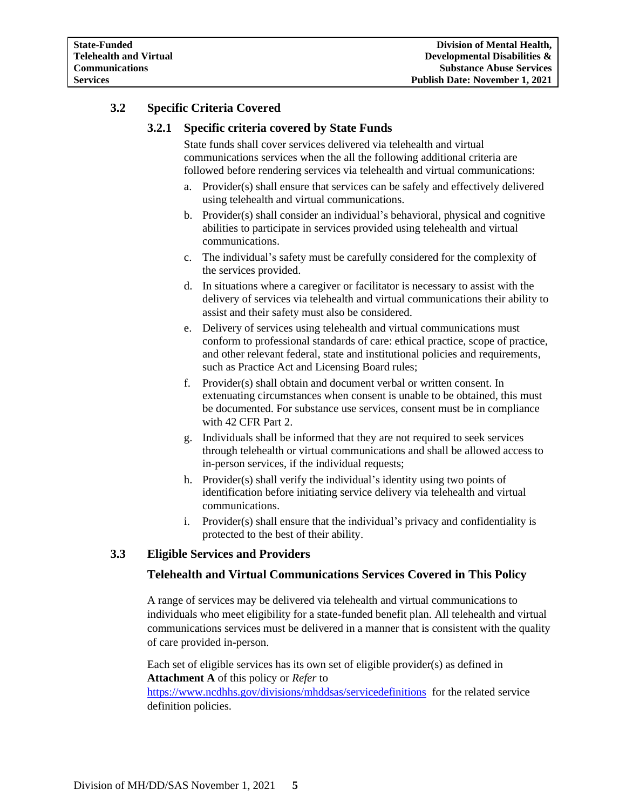# <span id="page-4-1"></span><span id="page-4-0"></span>**3.2 Specific Criteria Covered**

# **3.2.1 Specific criteria covered by State Funds**

State funds shall cover services delivered via telehealth and virtual communications services when the all the following additional criteria are followed before rendering services via telehealth and virtual communications:

- a. Provider(s) shall ensure that services can be safely and effectively delivered using telehealth and virtual communications.
- b. Provider(s) shall consider an individual's behavioral, physical and cognitive abilities to participate in services provided using telehealth and virtual communications.
- c. The individual's safety must be carefully considered for the complexity of the services provided.
- d. In situations where a caregiver or facilitator is necessary to assist with the delivery of services via telehealth and virtual communications their ability to assist and their safety must also be considered.
- e. Delivery of services using telehealth and virtual communications must conform to professional standards of care: ethical practice, scope of practice, and other relevant federal, state and institutional policies and requirements, such as Practice Act and Licensing Board rules;
- f. Provider(s) shall obtain and document verbal or written consent. In extenuating circumstances when consent is unable to be obtained, this must be documented. For substance use services, consent must be in compliance with 42 CFR Part 2.
- g. Individuals shall be informed that they are not required to seek services through telehealth or virtual communications and shall be allowed access to in-person services, if the individual requests;
- h. Provider(s) shall verify the individual's identity using two points of identification before initiating service delivery via telehealth and virtual communications.
- i. Provider(s) shall ensure that the individual's privacy and confidentiality is protected to the best of their ability.

# <span id="page-4-2"></span>**3.3 Eligible Services and Providers**

### **Telehealth and Virtual Communications Services Covered in This Policy**

A range of services may be delivered via telehealth and virtual communications to individuals who meet eligibility for a state-funded benefit plan. All telehealth and virtual communications services must be delivered in a manner that is consistent with the quality of care provided in-person.

Each set of eligible services has its own set of eligible provider(s) as defined in **Attachment A** of this policy or *Refer* to

<https://www.ncdhhs.gov/divisions/mhddsas/servicedefinitions> for the related service definition policies.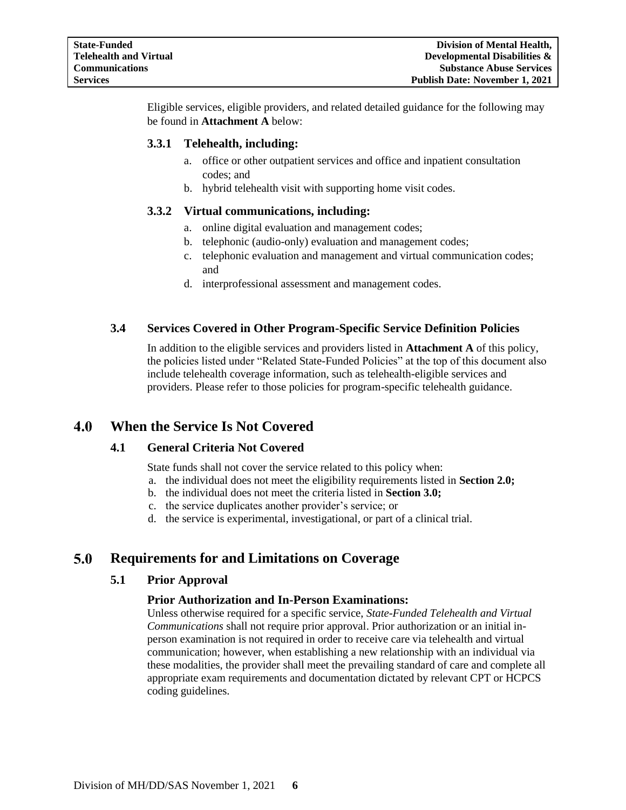Eligible services, eligible providers, and related detailed guidance for the following may be found in **Attachment A** below:

# <span id="page-5-0"></span>**3.3.1 Telehealth, including:**

- a. office or other outpatient services and office and inpatient consultation codes; and
- b. hybrid telehealth visit with supporting home visit codes.

### <span id="page-5-1"></span>**3.3.2 Virtual communications, including:**

- a. online digital evaluation and management codes;
- b. telephonic (audio-only) evaluation and management codes;
- c. telephonic evaluation and management and virtual communication codes; and
- d. interprofessional assessment and management codes.

# <span id="page-5-2"></span>**3.4 Services Covered in Other Program-Specific Service Definition Policies**

In addition to the eligible services and providers listed in **Attachment A** of this policy, the policies listed under "Related State-Funded Policies" at the top of this document also include telehealth coverage information, such as telehealth-eligible services and providers. Please refer to those policies for program-specific telehealth guidance.

#### <span id="page-5-4"></span><span id="page-5-3"></span> $4.0$ **When the Service Is Not Covered**

### **4.1 General Criteria Not Covered**

State funds shall not cover the service related to this policy when:

- a. the individual does not meet the eligibility requirements listed in **Section 2.0;**
- b. the individual does not meet the criteria listed in **Section 3.0;**
- c. the service duplicates another provider's service; or
- d. the service is experimental, investigational, or part of a clinical trial.

#### <span id="page-5-6"></span><span id="page-5-5"></span> $5.0$ **Requirements for and Limitations on Coverage**

### **5.1 Prior Approval**

# **Prior Authorization and In-Person Examinations:**

Unless otherwise required for a specific service, *State-Funded Telehealth and Virtual Communications* shall not require prior approval. Prior authorization or an initial inperson examination is not required in order to receive care via telehealth and virtual communication; however, when establishing a new relationship with an individual via these modalities, the provider shall meet the prevailing standard of care and complete all appropriate exam requirements and documentation dictated by relevant CPT or HCPCS coding guidelines.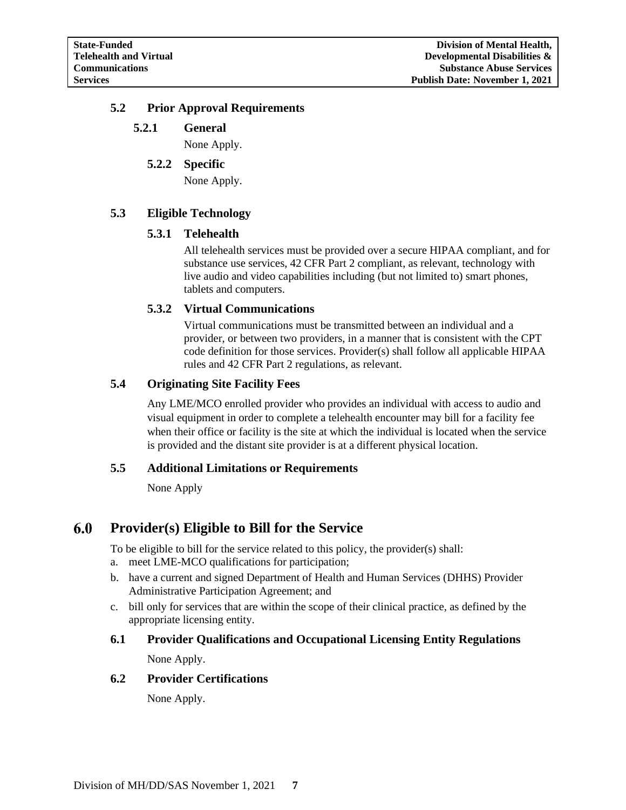# <span id="page-6-2"></span><span id="page-6-1"></span><span id="page-6-0"></span>**5.2 Prior Approval Requirements**

# **5.2.1 General**

None Apply.

#### **5.2.2 Specific**

None Apply.

# <span id="page-6-4"></span><span id="page-6-3"></span>**5.3 Eligible Technology**

#### **5.3.1 Telehealth**

All telehealth services must be provided over a secure HIPAA compliant, and for substance use services, 42 CFR Part 2 compliant, as relevant, technology with live audio and video capabilities including (but not limited to) smart phones, tablets and computers.

### <span id="page-6-5"></span>**5.3.2 Virtual Communications**

Virtual communications must be transmitted between an individual and a provider, or between two providers, in a manner that is consistent with the CPT code definition for those services. Provider(s) shall follow all applicable HIPAA rules and 42 CFR Part 2 regulations, as relevant.

### <span id="page-6-6"></span>**5.4 Originating Site Facility Fees**

Any LME/MCO enrolled provider who provides an individual with access to audio and visual equipment in order to complete a telehealth encounter may bill for a facility fee when their office or facility is the site at which the individual is located when the service is provided and the distant site provider is at a different physical location.

### <span id="page-6-7"></span>**5.5 Additional Limitations or Requirements**

None Apply

#### 6.0 **Provider(s) Eligible to Bill for the Service**

To be eligible to bill for the service related to this policy, the provider(s) shall:

- a. meet LME-MCO qualifications for participation;
- b. have a current and signed Department of Health and Human Services (DHHS) Provider Administrative Participation Agreement; and
- c. bill only for services that are within the scope of their clinical practice, as defined by the appropriate licensing entity.

# **6.1 Provider Qualifications and Occupational Licensing Entity Regulations**

None Apply.

### **6.2 Provider Certifications**

None Apply.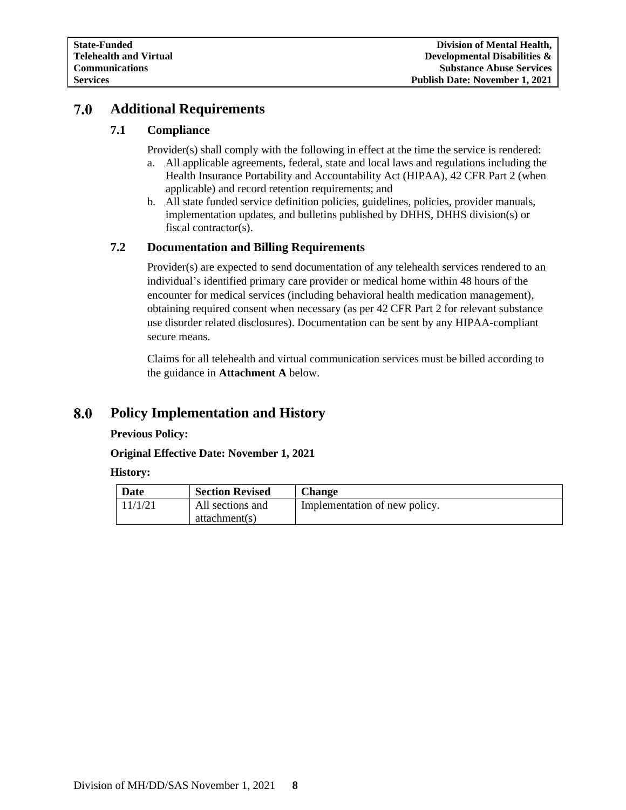#### <span id="page-7-0"></span>7.0 **Additional Requirements**

# **7.1 Compliance**

Provider(s) shall comply with the following in effect at the time the service is rendered:

- a. All applicable agreements, federal, state and local laws and regulations including the Health Insurance Portability and Accountability Act (HIPAA), 42 CFR Part 2 (when applicable) and record retention requirements; and
- b. All state funded service definition policies, guidelines, policies, provider manuals, implementation updates, and bulletins published by DHHS, DHHS division(s) or fiscal contractor(s).

# <span id="page-7-1"></span>**7.2 Documentation and Billing Requirements**

Provider(s) are expected to send documentation of any telehealth services rendered to an individual's identified primary care provider or medical home within 48 hours of the encounter for medical services (including behavioral health medication management), obtaining required consent when necessary (as per 42 CFR Part 2 for relevant substance use disorder related disclosures). Documentation can be sent by any HIPAA-compliant secure means.

Claims for all telehealth and virtual communication services must be billed according to the guidance in **Attachment A** below.

#### <span id="page-7-2"></span>**Policy Implementation and History** 8.0

### **Previous Policy:**

**Original Effective Date: November 1, 2021**

**History:**

| Date    | <b>Section Revised</b> | Change                        |
|---------|------------------------|-------------------------------|
| 11/1/21 | All sections and       | Implementation of new policy. |
|         | attachment(s)          |                               |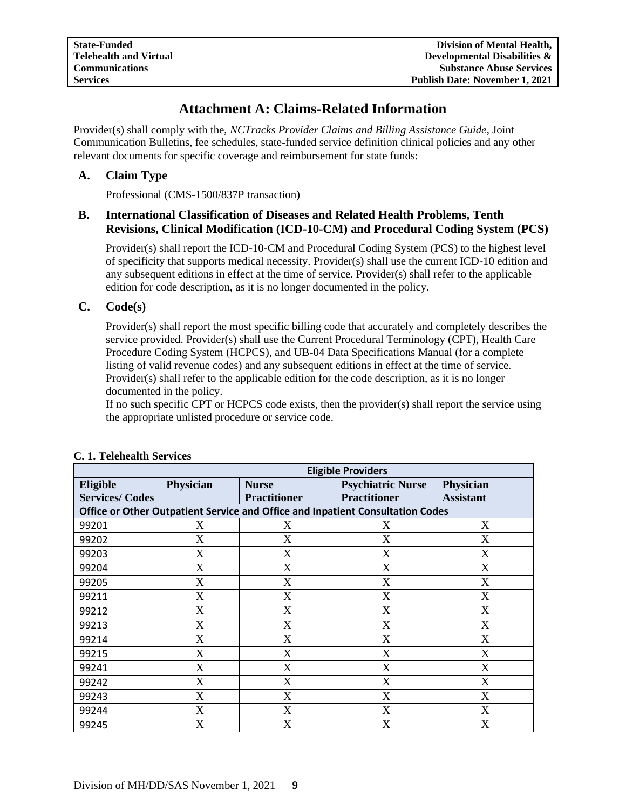# **Attachment A: Claims-Related Information**

<span id="page-8-0"></span>Provider(s) shall comply with the, *NCTracks Provider Claims and Billing Assistance Guide*, Joint Communication Bulletins, fee schedules, state-funded service definition clinical policies and any other relevant documents for specific coverage and reimbursement for state funds:

# <span id="page-8-1"></span>**A. Claim Type**

Professional (CMS-1500/837P transaction)

# <span id="page-8-2"></span>**B. International Classification of Diseases and Related Health Problems, Tenth Revisions, Clinical Modification (ICD-10-CM) and Procedural Coding System (PCS)**

Provider(s) shall report the ICD-10-CM and Procedural Coding System (PCS) to the highest level of specificity that supports medical necessity. Provider(s) shall use the current ICD-10 edition and any subsequent editions in effect at the time of service. Provider(s) shall refer to the applicable edition for code description, as it is no longer documented in the policy.

### <span id="page-8-3"></span>**C. Code(s)**

Provider(s) shall report the most specific billing code that accurately and completely describes the service provided. Provider(s) shall use the Current Procedural Terminology (CPT), Health Care Procedure Coding System (HCPCS), and UB-04 Data Specifications Manual (for a complete listing of valid revenue codes) and any subsequent editions in effect at the time of service. Provider(s) shall refer to the applicable edition for the code description, as it is no longer documented in the policy.

If no such specific CPT or HCPCS code exists, then the provider(s) shall report the service using the appropriate unlisted procedure or service code.

|                       | <b>Eligible Providers</b> |                           |                                                                                |                  |
|-----------------------|---------------------------|---------------------------|--------------------------------------------------------------------------------|------------------|
| Eligible              | Physician                 | <b>Nurse</b>              | <b>Psychiatric Nurse</b>                                                       | <b>Physician</b> |
| <b>Services/Codes</b> |                           | <b>Practitioner</b>       | <b>Practitioner</b>                                                            | <b>Assistant</b> |
|                       |                           |                           | Office or Other Outpatient Service and Office and Inpatient Consultation Codes |                  |
| 99201                 | X                         | X                         | X                                                                              | X                |
| 99202                 | X                         | $\boldsymbol{\mathrm{X}}$ | X                                                                              | X                |
| 99203                 | X                         | $\boldsymbol{\mathrm{X}}$ | X                                                                              | X                |
| 99204                 | X                         | X                         | X                                                                              | X                |
| 99205                 | X                         | X                         | X                                                                              | X                |
| 99211                 | X                         | X                         | X                                                                              | X                |
| 99212                 | X                         | X                         | X                                                                              | X                |
| 99213                 | X                         | X                         | X                                                                              | X                |
| 99214                 | X                         | X                         | X                                                                              | X                |
| 99215                 | X                         | X                         | X                                                                              | X                |
| 99241                 | X                         | X                         | X                                                                              | X                |
| 99242                 | X                         | X                         | X                                                                              | X                |
| 99243                 | X                         | X                         | X                                                                              | X                |
| 99244                 | X                         | X                         | X                                                                              | X                |
| 99245                 | X                         | X                         | X                                                                              | X                |

### **C. 1. Telehealth Services**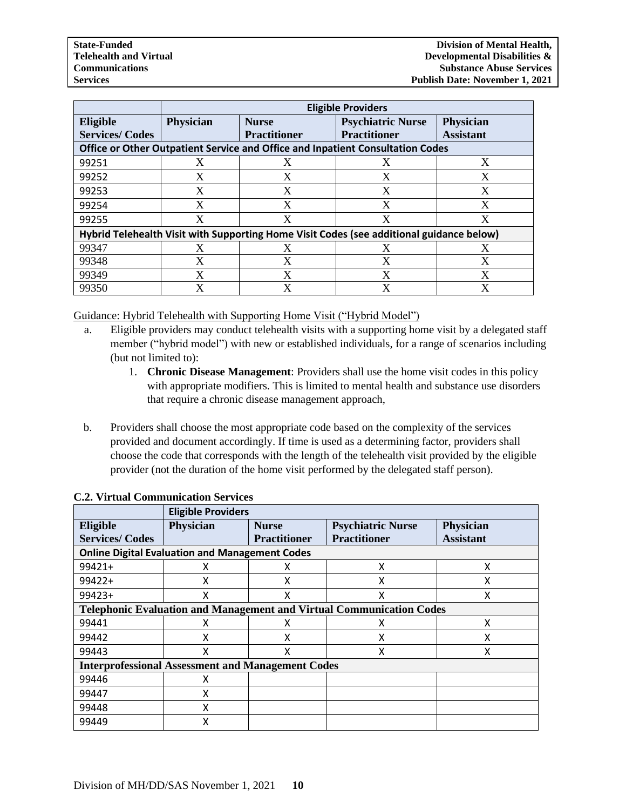|                                                                                          | <b>Eligible Providers</b>                                                      |                     |                          |                  |  |  |  |
|------------------------------------------------------------------------------------------|--------------------------------------------------------------------------------|---------------------|--------------------------|------------------|--|--|--|
| Eligible                                                                                 | <b>Physician</b>                                                               | <b>Nurse</b>        | <b>Psychiatric Nurse</b> | <b>Physician</b> |  |  |  |
| <b>Services/Codes</b>                                                                    |                                                                                | <b>Practitioner</b> | <b>Practitioner</b>      | <b>Assistant</b> |  |  |  |
|                                                                                          | Office or Other Outpatient Service and Office and Inpatient Consultation Codes |                     |                          |                  |  |  |  |
| 99251                                                                                    | X                                                                              | X                   | X                        | X                |  |  |  |
| 99252                                                                                    | X                                                                              | X                   | X                        | X                |  |  |  |
| 99253                                                                                    | X                                                                              | X                   | X                        | X                |  |  |  |
| 99254                                                                                    | X                                                                              | X                   | X                        | X                |  |  |  |
| 99255                                                                                    | X                                                                              | X                   | X                        | X                |  |  |  |
| Hybrid Telehealth Visit with Supporting Home Visit Codes (see additional guidance below) |                                                                                |                     |                          |                  |  |  |  |
| 99347                                                                                    | X                                                                              | X                   |                          |                  |  |  |  |
| 99348                                                                                    | X                                                                              | X                   | X                        | X                |  |  |  |
| 99349                                                                                    | X                                                                              | X                   | X                        | $\mathbf v$      |  |  |  |
| 99350                                                                                    | X                                                                              | X                   | X                        | X                |  |  |  |

Guidance: Hybrid Telehealth with Supporting Home Visit ("Hybrid Model")

- a. Eligible providers may conduct telehealth visits with a supporting home visit by a delegated staff member ("hybrid model") with new or established individuals, for a range of scenarios including (but not limited to):
	- 1. **Chronic Disease Management**: Providers shall use the home visit codes in this policy with appropriate modifiers. This is limited to mental health and substance use disorders that require a chronic disease management approach,
- b. Providers shall choose the most appropriate code based on the complexity of the services provided and document accordingly. If time is used as a determining factor, providers shall choose the code that corresponds with the length of the telehealth visit provided by the eligible provider (not the duration of the home visit performed by the delegated staff person).

|                                                          | <b>Eligible Providers</b>                                                   |                     |                          |                  |  |  |  |
|----------------------------------------------------------|-----------------------------------------------------------------------------|---------------------|--------------------------|------------------|--|--|--|
| Eligible                                                 | Physician                                                                   | <b>Nurse</b>        | <b>Psychiatric Nurse</b> | <b>Physician</b> |  |  |  |
| <b>Services/Codes</b>                                    |                                                                             | <b>Practitioner</b> | <b>Practitioner</b>      | <b>Assistant</b> |  |  |  |
| <b>Online Digital Evaluation and Management Codes</b>    |                                                                             |                     |                          |                  |  |  |  |
| 99421+                                                   |                                                                             | χ                   | x                        | χ                |  |  |  |
| $99422+$                                                 | х                                                                           | х                   | x                        | χ                |  |  |  |
| 99423+                                                   | x                                                                           | X                   | X                        | X                |  |  |  |
|                                                          | <b>Telephonic Evaluation and Management and Virtual Communication Codes</b> |                     |                          |                  |  |  |  |
| 99441                                                    | x                                                                           | χ                   | x                        | x                |  |  |  |
| 99442                                                    | x                                                                           | х                   | х                        | χ                |  |  |  |
| 99443                                                    | x                                                                           | x                   | x                        | x                |  |  |  |
| <b>Interprofessional Assessment and Management Codes</b> |                                                                             |                     |                          |                  |  |  |  |
| 99446                                                    | x                                                                           |                     |                          |                  |  |  |  |
| 99447                                                    | X                                                                           |                     |                          |                  |  |  |  |
| 99448                                                    | X                                                                           |                     |                          |                  |  |  |  |
| 99449                                                    | x                                                                           |                     |                          |                  |  |  |  |

# **C.2. Virtual Communication Services**